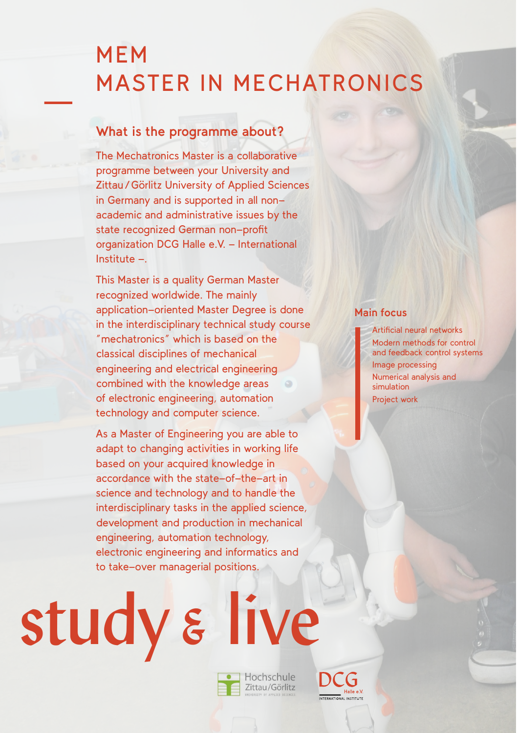# MEM MASTER IN MECHATRONICS

### **What is the programme about?**

The Mechatronics Master is a collaborative programme between your University and Zittau/Görlitz University of Applied Sciences in Germany and is supported in all nonacademic and administrative issues by the state recognized German non-profit organization DCG Halle e.V. - International  $Institute -$ 

This Master is a quality German Master recognized worldwide. The mainly application-oriented Master Degree is done in the interdisciplinary technical study course "mechatronics" which is based on the classical disciplines of mechanical engineering and electrical engineering combined with the knowledge areas of electronic engineering, automation technology and computer science.

As a Master of Engineering you are able to adapt to changing activities in working life based on your acquired knowledge in accordance with the state-of-the-art in science and technology and to handle the interdisciplinary tasks in the applied science, development and production in mechanical engineering, automation technology, electronic engineering and informatics and to take-over managerial positions.

#### **Main focus**

Artificial neural networks Modern methods for control and feedback control systems Image processing Numerical analysis and simulation

Project work

study & live

• Hochschule Zittau/Görlitz

STERMATIONAL INCTITUTE